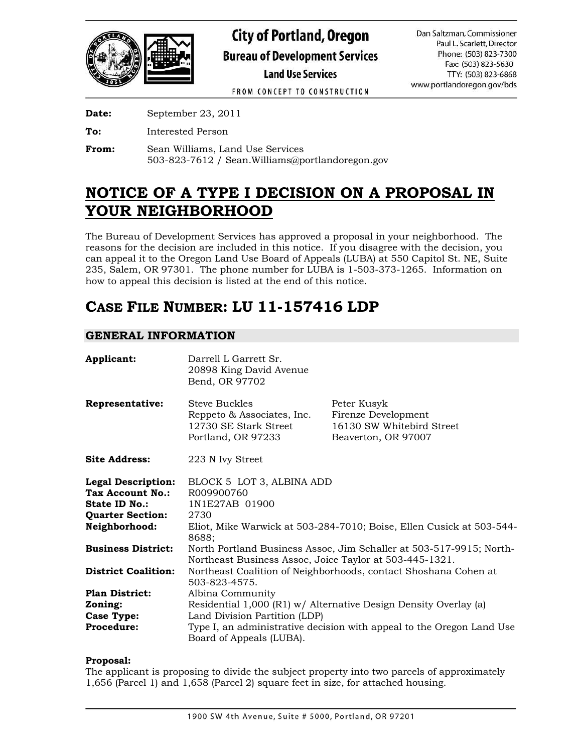

FROM CONCEPT TO CONSTRUCTION

**Date:** September 23, 2011

**To:** Interested Person

**From:** Sean Williams, Land Use Services 503-823-7612 / Sean.Williams@portlandoregon.gov

# **NOTICE OF A TYPE I DECISION ON A PROPOSAL IN YOUR NEIGHBORHOOD**

The Bureau of Development Services has approved a proposal in your neighborhood. The reasons for the decision are included in this notice. If you disagree with the decision, you can appeal it to the Oregon Land Use Board of Appeals (LUBA) at 550 Capitol St. NE, Suite 235, Salem, OR 97301. The phone number for LUBA is 1-503-373-1265. Information on how to appeal this decision is listed at the end of this notice.

# **CASE FILE NUMBER: LU 11-157416 LDP**

# **GENERAL INFORMATION**

| Applicant:                                                                                                               | Darrell L Garrett Sr.<br>20898 King David Avenue<br>Bend, OR 97702                                                                        |                                                                                        |
|--------------------------------------------------------------------------------------------------------------------------|-------------------------------------------------------------------------------------------------------------------------------------------|----------------------------------------------------------------------------------------|
| <b>Representative:</b>                                                                                                   | <b>Steve Buckles</b><br>Reppeto & Associates, Inc.<br>12730 SE Stark Street<br>Portland, OR 97233                                         | Peter Kusyk<br>Firenze Development<br>16130 SW Whitebird Street<br>Beaverton, OR 97007 |
| <b>Site Address:</b>                                                                                                     | 223 N Ivy Street                                                                                                                          |                                                                                        |
| <b>Legal Description:</b><br><b>Tax Account No.:</b><br><b>State ID No.:</b><br><b>Quarter Section:</b><br>Neighborhood: | BLOCK 5 LOT 3, ALBINA ADD<br>R009900760<br>1N1E27AB 01900<br>2730<br>Eliot, Mike Warwick at 503-284-7010; Boise, Ellen Cusick at 503-544- |                                                                                        |
| <b>Business District:</b>                                                                                                | 8688;<br>North Portland Business Assoc, Jim Schaller at 503-517-9915; North-<br>Northeast Business Assoc, Joice Taylor at 503-445-1321.   |                                                                                        |
| <b>District Coalition:</b>                                                                                               | Northeast Coalition of Neighborhoods, contact Shoshana Cohen at<br>503-823-4575.                                                          |                                                                                        |
| <b>Plan District:</b>                                                                                                    | Albina Community                                                                                                                          |                                                                                        |
| Zoning:                                                                                                                  | Residential 1,000 (R1) w/ Alternative Design Density Overlay (a)                                                                          |                                                                                        |
| <b>Case Type:</b>                                                                                                        | Land Division Partition (LDP)                                                                                                             |                                                                                        |
| <b>Procedure:</b>                                                                                                        | Type I, an administrative decision with appeal to the Oregon Land Use<br>Board of Appeals (LUBA).                                         |                                                                                        |

# **Proposal:**

The applicant is proposing to divide the subject property into two parcels of approximately 1,656 (Parcel 1) and 1,658 (Parcel 2) square feet in size, for attached housing.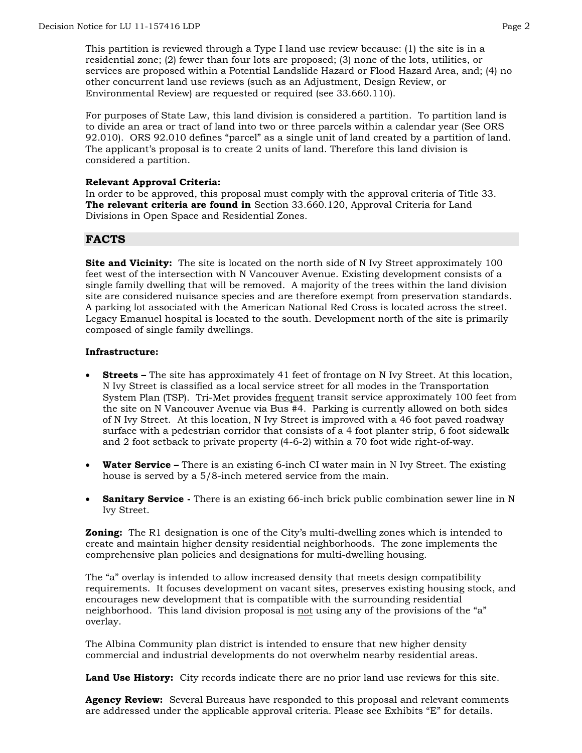This partition is reviewed through a Type I land use review because: (1) the site is in a residential zone; (2) fewer than four lots are proposed; (3) none of the lots, utilities, or services are proposed within a Potential Landslide Hazard or Flood Hazard Area, and; (4) no other concurrent land use reviews (such as an Adjustment, Design Review, or Environmental Review) are requested or required (see 33.660.110).

For purposes of State Law, this land division is considered a partition. To partition land is to divide an area or tract of land into two or three parcels within a calendar year (See ORS 92.010). ORS 92.010 defines "parcel" as a single unit of land created by a partition of land. The applicant's proposal is to create 2 units of land. Therefore this land division is considered a partition.

#### **Relevant Approval Criteria:**

In order to be approved, this proposal must comply with the approval criteria of Title 33. **The relevant criteria are found in** Section 33.660.120, Approval Criteria for Land Divisions in Open Space and Residential Zones.

# **FACTS**

**Site and Vicinity:** The site is located on the north side of N Ivy Street approximately 100 feet west of the intersection with N Vancouver Avenue. Existing development consists of a single family dwelling that will be removed. A majority of the trees within the land division site are considered nuisance species and are therefore exempt from preservation standards. A parking lot associated with the American National Red Cross is located across the street. Legacy Emanuel hospital is located to the south. Development north of the site is primarily composed of single family dwellings.

#### **Infrastructure:**

- **Streets** The site has approximately 41 feet of frontage on N Ivy Street. At this location, N Ivy Street is classified as a local service street for all modes in the Transportation System Plan (TSP). Tri-Met provides frequent transit service approximately 100 feet from the site on N Vancouver Avenue via Bus #4. Parking is currently allowed on both sides of N Ivy Street.At this location, N Ivy Street is improved with a 46 foot paved roadway surface with a pedestrian corridor that consists of a 4 foot planter strip, 6 foot sidewalk and 2 foot setback to private property (4-6-2) within a 70 foot wide right-of-way.
- **Water Service –** There is an existing 6-inch CI water main in N Ivy Street. The existing house is served by a 5/8-inch metered service from the main.
- **Sanitary Service** There is an existing 66-inch brick public combination sewer line in N Ivy Street.

**Zoning:** The R1 designation is one of the City's multi-dwelling zones which is intended to create and maintain higher density residential neighborhoods. The zone implements the comprehensive plan policies and designations for multi-dwelling housing.

The "a" overlay is intended to allow increased density that meets design compatibility requirements. It focuses development on vacant sites, preserves existing housing stock, and encourages new development that is compatible with the surrounding residential neighborhood. This land division proposal is not using any of the provisions of the "a" overlay.

The Albina Community plan district is intended to ensure that new higher density commercial and industrial developments do not overwhelm nearby residential areas.

**Land Use History:** City records indicate there are no prior land use reviews for this site.

**Agency Review:** Several Bureaus have responded to this proposal and relevant comments are addressed under the applicable approval criteria. Please see Exhibits "E" for details.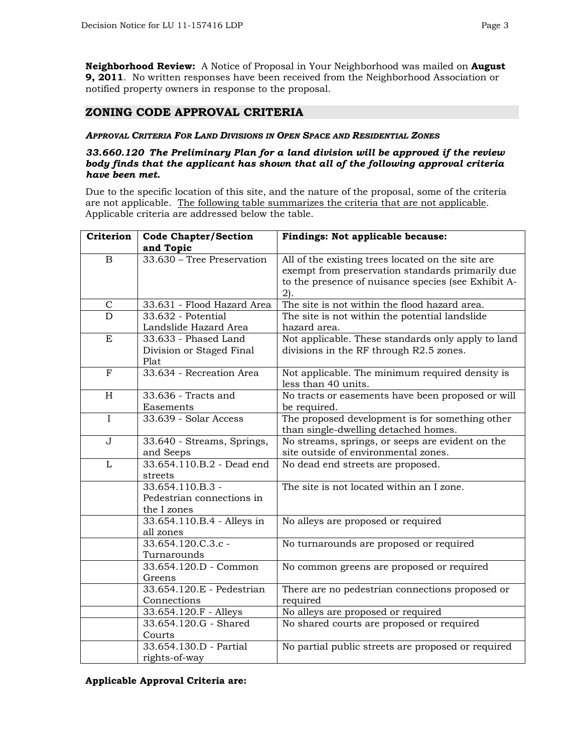**Neighborhood Review:** A Notice of Proposal in Your Neighborhood was mailed on **August 9, 2011**. No written responses have been received from the Neighborhood Association or notified property owners in response to the proposal.

# **ZONING CODE APPROVAL CRITERIA**

#### *APPROVAL CRITERIA FOR LAND DIVISIONS IN OPEN SPACE AND RESIDENTIAL ZONES*

#### *33.660.120 The Preliminary Plan for a land division will be approved if the review body finds that the applicant has shown that all of the following approval criteria have been met.*

Due to the specific location of this site, and the nature of the proposal, some of the criteria are not applicable. The following table summarizes the criteria that are not applicable. Applicable criteria are addressed below the table.

| Criterion                 | <b>Code Chapter/Section</b>            | Findings: Not applicable because:                   |
|---------------------------|----------------------------------------|-----------------------------------------------------|
|                           | and Topic                              |                                                     |
| B                         | 33.630 - Tree Preservation             | All of the existing trees located on the site are   |
|                           |                                        | exempt from preservation standards primarily due    |
|                           |                                        | to the presence of nuisance species (see Exhibit A- |
|                           |                                        | $2$ ).                                              |
| $\mathsf C$               | 33.631 - Flood Hazard Area             | The site is not within the flood hazard area.       |
| $\overline{\rm D}$        | $33.632$ - Potential                   | The site is not within the potential landslide      |
|                           | Landslide Hazard Area                  | hazard area.                                        |
| E                         | 33.633 - Phased Land                   | Not applicable. These standards only apply to land  |
|                           | Division or Staged Final               | divisions in the RF through R2.5 zones.             |
|                           | Plat                                   |                                                     |
| $\overline{F}$            | 33.634 - Recreation Area               | Not applicable. The minimum required density is     |
|                           |                                        | less than 40 units.                                 |
| $\boldsymbol{\mathrm{H}}$ | $33.636$ - Tracts and                  | No tracts or easements have been proposed or will   |
|                           | Easements                              | be required.                                        |
| $\overline{I}$            | 33.639 - Solar Access                  | The proposed development is for something other     |
|                           |                                        | than single-dwelling detached homes.                |
| $\mathbf{J}$              | 33.640 - Streams, Springs,             | No streams, springs, or seeps are evident on the    |
| $\mathbf{L}$              | and Seeps<br>33.654.110.B.2 - Dead end | site outside of environmental zones.                |
|                           | streets                                | No dead end streets are proposed.                   |
|                           | 33.654.110.B.3 -                       | The site is not located within an I zone.           |
|                           | Pedestrian connections in              |                                                     |
|                           | the I zones                            |                                                     |
|                           | 33.654.110.B.4 - Alleys in             | No alleys are proposed or required                  |
|                           | all zones                              |                                                     |
|                           | 33.654.120.C.3.c -                     | No turnarounds are proposed or required             |
|                           | Turnarounds                            |                                                     |
|                           | 33.654.120.D - Common                  | No common greens are proposed or required           |
|                           | Greens                                 |                                                     |
|                           | 33.654.120.E - Pedestrian              | There are no pedestrian connections proposed or     |
|                           | Connections                            | required                                            |
|                           | 33.654.120.F - Alleys                  | No alleys are proposed or required                  |
|                           | 33.654.120.G - Shared                  | No shared courts are proposed or required           |
|                           | Courts                                 |                                                     |
|                           | 33.654.130.D - Partial                 | No partial public streets are proposed or required  |
|                           | rights-of-way                          |                                                     |

**Applicable Approval Criteria are:**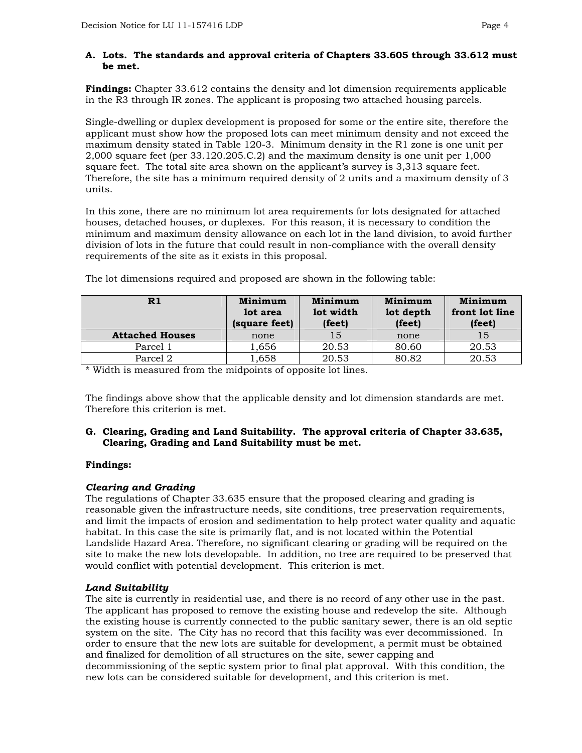### **A. Lots. The standards and approval criteria of Chapters 33.605 through 33.612 must be met.**

**Findings:** Chapter 33.612 contains the density and lot dimension requirements applicable in the R3 through IR zones. The applicant is proposing two attached housing parcels.

Single-dwelling or duplex development is proposed for some or the entire site, therefore the applicant must show how the proposed lots can meet minimum density and not exceed the maximum density stated in Table 120-3. Minimum density in the R1 zone is one unit per 2,000 square feet (per 33.120.205.C.2) and the maximum density is one unit per 1,000 square feet. The total site area shown on the applicant's survey is 3,313 square feet. Therefore, the site has a minimum required density of 2 units and a maximum density of 3 units.

In this zone, there are no minimum lot area requirements for lots designated for attached houses, detached houses, or duplexes. For this reason, it is necessary to condition the minimum and maximum density allowance on each lot in the land division, to avoid further division of lots in the future that could result in non-compliance with the overall density requirements of the site as it exists in this proposal.

| R1                     | Minimum<br>lot area<br>(square feet) | Minimum<br>lot width<br>(feet) | Minimum<br>lot depth<br>(feet) | Minimum<br>front lot line<br>(feet) |
|------------------------|--------------------------------------|--------------------------------|--------------------------------|-------------------------------------|
| <b>Attached Houses</b> | none                                 | 15                             | none                           | 15                                  |
| Parcel 1               | 1,656                                | 20.53                          | 80.60                          | 20.53                               |
| Parcel 2               | 1,658                                | 20.53                          | 80.82                          | 20.53                               |

The lot dimensions required and proposed are shown in the following table:

\* Width is measured from the midpoints of opposite lot lines.

The findings above show that the applicable density and lot dimension standards are met. Therefore this criterion is met.

#### **G. Clearing, Grading and Land Suitability. The approval criteria of Chapter 33.635, Clearing, Grading and Land Suitability must be met.**

# **Findings:**

#### *Clearing and Grading*

The regulations of Chapter 33.635 ensure that the proposed clearing and grading is reasonable given the infrastructure needs, site conditions, tree preservation requirements, and limit the impacts of erosion and sedimentation to help protect water quality and aquatic habitat. In this case the site is primarily flat, and is not located within the Potential Landslide Hazard Area. Therefore, no significant clearing or grading will be required on the site to make the new lots developable. In addition, no tree are required to be preserved that would conflict with potential development. This criterion is met.

# *Land Suitability*

The site is currently in residential use, and there is no record of any other use in the past. The applicant has proposed to remove the existing house and redevelop the site. Although the existing house is currently connected to the public sanitary sewer, there is an old septic system on the site. The City has no record that this facility was ever decommissioned. In order to ensure that the new lots are suitable for development, a permit must be obtained and finalized for demolition of all structures on the site, sewer capping and decommissioning of the septic system prior to final plat approval. With this condition, the new lots can be considered suitable for development, and this criterion is met.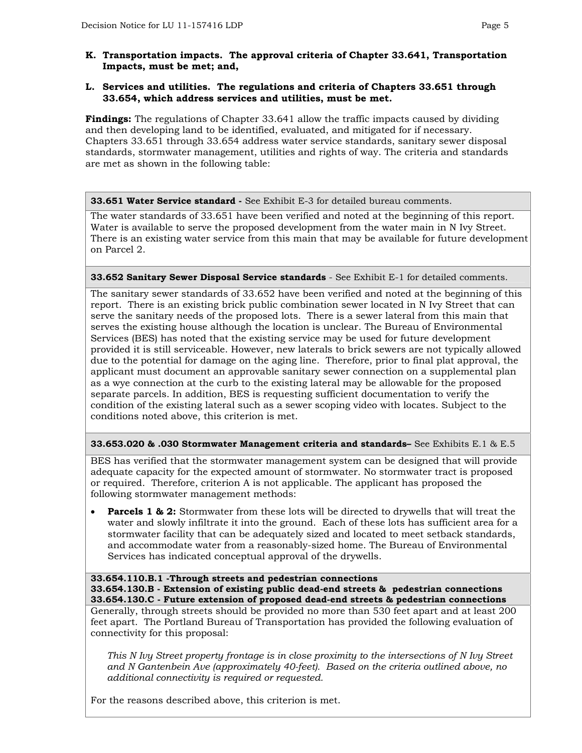### **K. Transportation impacts. The approval criteria of Chapter 33.641, Transportation Impacts, must be met; and,**

#### **L. Services and utilities. The regulations and criteria of Chapters 33.651 through 33.654, which address services and utilities, must be met.**

**Findings:** The regulations of Chapter 33.641 allow the traffic impacts caused by dividing and then developing land to be identified, evaluated, and mitigated for if necessary. Chapters 33.651 through 33.654 address water service standards, sanitary sewer disposal standards, stormwater management, utilities and rights of way. The criteria and standards are met as shown in the following table:

**33.651 Water Service standard -** See Exhibit E-3 for detailed bureau comments.

The water standards of 33.651 have been verified and noted at the beginning of this report. Water is available to serve the proposed development from the water main in N Ivy Street. There is an existing water service from this main that may be available for future development on Parcel 2.

# **33.652 Sanitary Sewer Disposal Service standards** - See Exhibit E-1 for detailed comments.

The sanitary sewer standards of 33.652 have been verified and noted at the beginning of this report. There is an existing brick public combination sewer located in N Ivy Street that can serve the sanitary needs of the proposed lots. There is a sewer lateral from this main that serves the existing house although the location is unclear. The Bureau of Environmental Services (BES) has noted that the existing service may be used for future development provided it is still serviceable. However, new laterals to brick sewers are not typically allowed due to the potential for damage on the aging line. Therefore, prior to final plat approval, the applicant must document an approvable sanitary sewer connection on a supplemental plan as a wye connection at the curb to the existing lateral may be allowable for the proposed separate parcels. In addition, BES is requesting sufficient documentation to verify the condition of the existing lateral such as a sewer scoping video with locates. Subject to the conditions noted above, this criterion is met.

#### **33.653.020 & .030 Stormwater Management criteria and standards–** See Exhibits E.1 & E.5

BES has verified that the stormwater management system can be designed that will provide adequate capacity for the expected amount of stormwater. No stormwater tract is proposed or required. Therefore, criterion A is not applicable. The applicant has proposed the following stormwater management methods:

**Parcels 1 & 2:** Stormwater from these lots will be directed to drywells that will treat the water and slowly infiltrate it into the ground. Each of these lots has sufficient area for a stormwater facility that can be adequately sized and located to meet setback standards, and accommodate water from a reasonably-sized home. The Bureau of Environmental Services has indicated conceptual approval of the drywells.

#### **33.654.110.B.1 -Through streets and pedestrian connections**

**33.654.130.B - Extension of existing public dead-end streets & pedestrian connections 33.654.130.C - Future extension of proposed dead-end streets & pedestrian connections** 

Generally, through streets should be provided no more than 530 feet apart and at least 200 feet apart. The Portland Bureau of Transportation has provided the following evaluation of connectivity for this proposal:

*This N Ivy Street property frontage is in close proximity to the intersections of N Ivy Street and N Gantenbein Ave (approximately 40-feet). Based on the criteria outlined above, no additional connectivity is required or requested.* 

For the reasons described above, this criterion is met.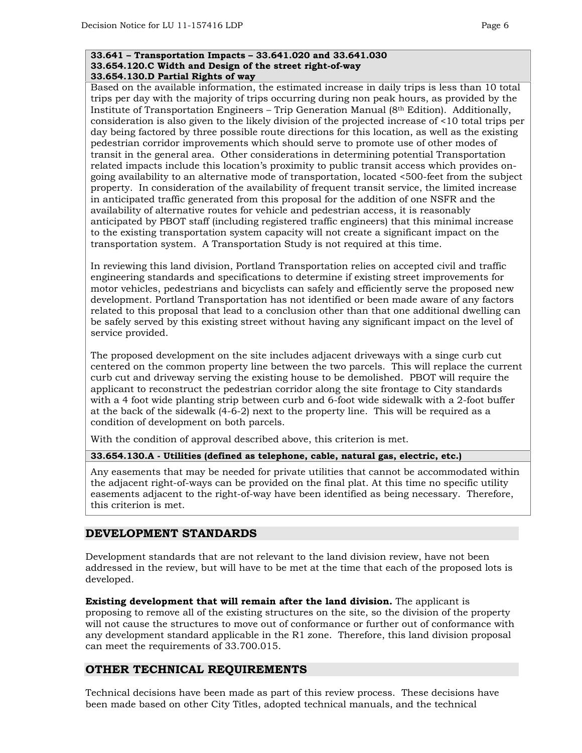#### **33.641 – Transportation Impacts – 33.641.020 and 33.641.030 33.654.120.C Width and Design of the street right-of-way 33.654.130.D Partial Rights of way**

Based on the available information, the estimated increase in daily trips is less than 10 total trips per day with the majority of trips occurring during non peak hours, as provided by the Institute of Transportation Engineers – Trip Generation Manual (8th Edition). Additionally, consideration is also given to the likely division of the projected increase of <10 total trips per day being factored by three possible route directions for this location, as well as the existing pedestrian corridor improvements which should serve to promote use of other modes of transit in the general area. Other considerations in determining potential Transportation related impacts include this location's proximity to public transit access which provides ongoing availability to an alternative mode of transportation, located <500-feet from the subject property. In consideration of the availability of frequent transit service, the limited increase in anticipated traffic generated from this proposal for the addition of one NSFR and the availability of alternative routes for vehicle and pedestrian access, it is reasonably anticipated by PBOT staff (including registered traffic engineers) that this minimal increase to the existing transportation system capacity will not create a significant impact on the transportation system. A Transportation Study is not required at this time.

In reviewing this land division, Portland Transportation relies on accepted civil and traffic engineering standards and specifications to determine if existing street improvements for motor vehicles, pedestrians and bicyclists can safely and efficiently serve the proposed new development. Portland Transportation has not identified or been made aware of any factors related to this proposal that lead to a conclusion other than that one additional dwelling can be safely served by this existing street without having any significant impact on the level of service provided.

The proposed development on the site includes adjacent driveways with a singe curb cut centered on the common property line between the two parcels. This will replace the current curb cut and driveway serving the existing house to be demolished. PBOT will require the applicant to reconstruct the pedestrian corridor along the site frontage to City standards with a 4 foot wide planting strip between curb and 6-foot wide sidewalk with a 2-foot buffer at the back of the sidewalk (4-6-2) next to the property line. This will be required as a condition of development on both parcels.

With the condition of approval described above, this criterion is met.

# **33.654.130.A - Utilities (defined as telephone, cable, natural gas, electric, etc.)**

Any easements that may be needed for private utilities that cannot be accommodated within the adjacent right-of-ways can be provided on the final plat. At this time no specific utility easements adjacent to the right-of-way have been identified as being necessary. Therefore, this criterion is met.

# **DEVELOPMENT STANDARDS**

Development standards that are not relevant to the land division review, have not been addressed in the review, but will have to be met at the time that each of the proposed lots is developed.

**Existing development that will remain after the land division.** The applicant is proposing to remove all of the existing structures on the site, so the division of the property will not cause the structures to move out of conformance or further out of conformance with any development standard applicable in the R1 zone. Therefore, this land division proposal can meet the requirements of 33.700.015.

# **OTHER TECHNICAL REQUIREMENTS**

Technical decisions have been made as part of this review process. These decisions have been made based on other City Titles, adopted technical manuals, and the technical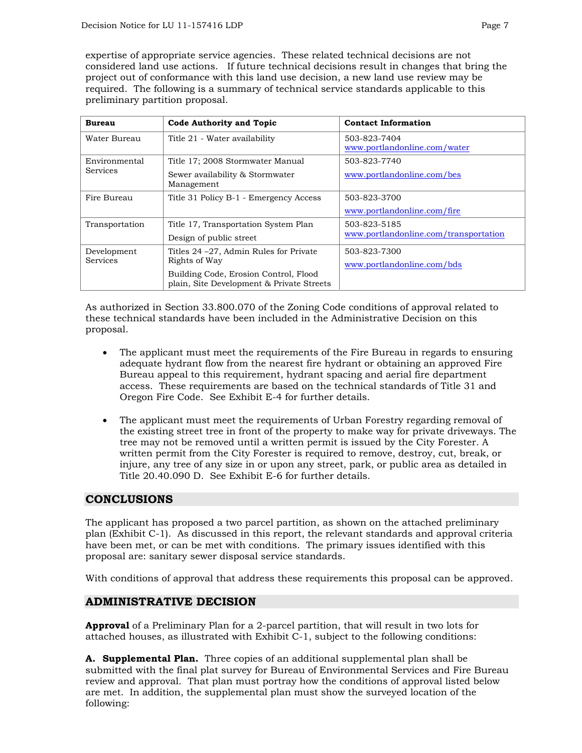expertise of appropriate service agencies. These related technical decisions are not considered land use actions. If future technical decisions result in changes that bring the project out of conformance with this land use decision, a new land use review may be required. The following is a summary of technical service standards applicable to this preliminary partition proposal.

| <b>Bureau</b>   | <b>Code Authority and Topic</b>                                                    | <b>Contact Information</b>                   |
|-----------------|------------------------------------------------------------------------------------|----------------------------------------------|
| Water Bureau    | Title 21 - Water availability                                                      | 503-823-7404<br>www.portlandonline.com/water |
| Environmental   | Title 17; 2008 Stormwater Manual                                                   | 503-823-7740                                 |
| <b>Services</b> | Sewer availability & Stormwater<br>Management                                      | www.portlandonline.com/bes                   |
| Fire Bureau     | Title 31 Policy B-1 - Emergency Access                                             | 503-823-3700                                 |
|                 |                                                                                    | www.portlandonline.com/fire                  |
| Transportation  | Title 17, Transportation System Plan                                               | 503-823-5185                                 |
|                 | Design of public street                                                            | www.portlandonline.com/transportation        |
| Development     | Titles 24 – 27, Admin Rules for Private                                            | 503-823-7300                                 |
| <b>Services</b> | Rights of Way                                                                      | www.portlandonline.com/bds                   |
|                 | Building Code, Erosion Control, Flood<br>plain, Site Development & Private Streets |                                              |
|                 |                                                                                    |                                              |

As authorized in Section 33.800.070 of the Zoning Code conditions of approval related to these technical standards have been included in the Administrative Decision on this proposal.

- The applicant must meet the requirements of the Fire Bureau in regards to ensuring adequate hydrant flow from the nearest fire hydrant or obtaining an approved Fire Bureau appeal to this requirement, hydrant spacing and aerial fire department access. These requirements are based on the technical standards of Title 31 and Oregon Fire Code. See Exhibit E-4 for further details.
- The applicant must meet the requirements of Urban Forestry regarding removal of the existing street tree in front of the property to make way for private driveways. The tree may not be removed until a written permit is issued by the City Forester. A written permit from the City Forester is required to remove, destroy, cut, break, or injure, any tree of any size in or upon any street, park, or public area as detailed in Title 20.40.090 D. See Exhibit E-6 for further details.

# **CONCLUSIONS**

The applicant has proposed a two parcel partition, as shown on the attached preliminary plan (Exhibit C-1). As discussed in this report, the relevant standards and approval criteria have been met, or can be met with conditions. The primary issues identified with this proposal are: sanitary sewer disposal service standards.

With conditions of approval that address these requirements this proposal can be approved.

# **ADMINISTRATIVE DECISION**

**Approval** of a Preliminary Plan for a 2-parcel partition, that will result in two lots for attached houses, as illustrated with Exhibit C-1, subject to the following conditions:

**A. Supplemental Plan.** Three copies of an additional supplemental plan shall be submitted with the final plat survey for Bureau of Environmental Services and Fire Bureau review and approval. That plan must portray how the conditions of approval listed below are met. In addition, the supplemental plan must show the surveyed location of the following: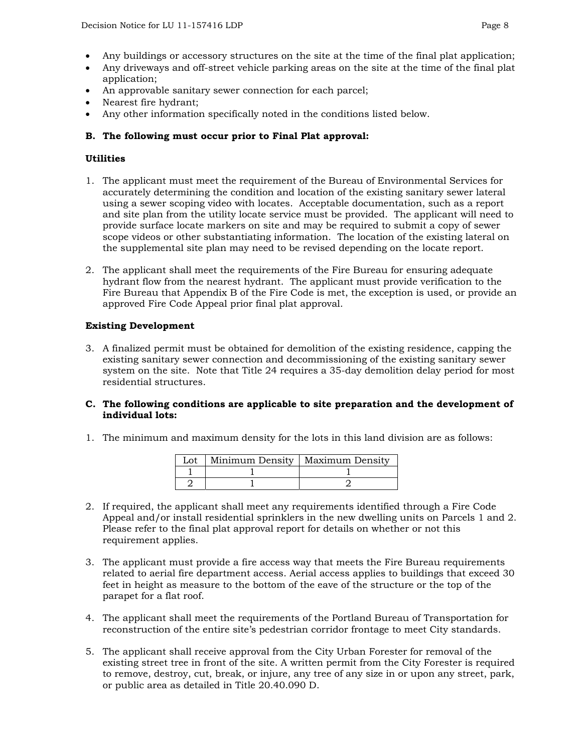- Any buildings or accessory structures on the site at the time of the final plat application;
- Any driveways and off-street vehicle parking areas on the site at the time of the final plat application;
- An approvable sanitary sewer connection for each parcel;
- Nearest fire hydrant;
- Any other information specifically noted in the conditions listed below.

#### **B. The following must occur prior to Final Plat approval:**

#### **Utilities**

- 1. The applicant must meet the requirement of the Bureau of Environmental Services for accurately determining the condition and location of the existing sanitary sewer lateral using a sewer scoping video with locates. Acceptable documentation, such as a report and site plan from the utility locate service must be provided. The applicant will need to provide surface locate markers on site and may be required to submit a copy of sewer scope videos or other substantiating information. The location of the existing lateral on the supplemental site plan may need to be revised depending on the locate report.
- 2. The applicant shall meet the requirements of the Fire Bureau for ensuring adequate hydrant flow from the nearest hydrant. The applicant must provide verification to the Fire Bureau that Appendix B of the Fire Code is met, the exception is used, or provide an approved Fire Code Appeal prior final plat approval.

#### **Existing Development**

- 3. A finalized permit must be obtained for demolition of the existing residence, capping the existing sanitary sewer connection and decommissioning of the existing sanitary sewer system on the site. Note that Title 24 requires a 35-day demolition delay period for most residential structures.
- **C. The following conditions are applicable to site preparation and the development of individual lots:**
- 1. The minimum and maximum density for the lots in this land division are as follows:

|  | Minimum Density   Maximum Density |
|--|-----------------------------------|
|  |                                   |
|  |                                   |

- 2. If required, the applicant shall meet any requirements identified through a Fire Code Appeal and/or install residential sprinklers in the new dwelling units on Parcels 1 and 2. Please refer to the final plat approval report for details on whether or not this requirement applies.
- 3. The applicant must provide a fire access way that meets the Fire Bureau requirements related to aerial fire department access. Aerial access applies to buildings that exceed 30 feet in height as measure to the bottom of the eave of the structure or the top of the parapet for a flat roof.
- 4. The applicant shall meet the requirements of the Portland Bureau of Transportation for reconstruction of the entire site's pedestrian corridor frontage to meet City standards.
- 5. The applicant shall receive approval from the City Urban Forester for removal of the existing street tree in front of the site. A written permit from the City Forester is required to remove, destroy, cut, break, or injure, any tree of any size in or upon any street, park, or public area as detailed in Title 20.40.090 D.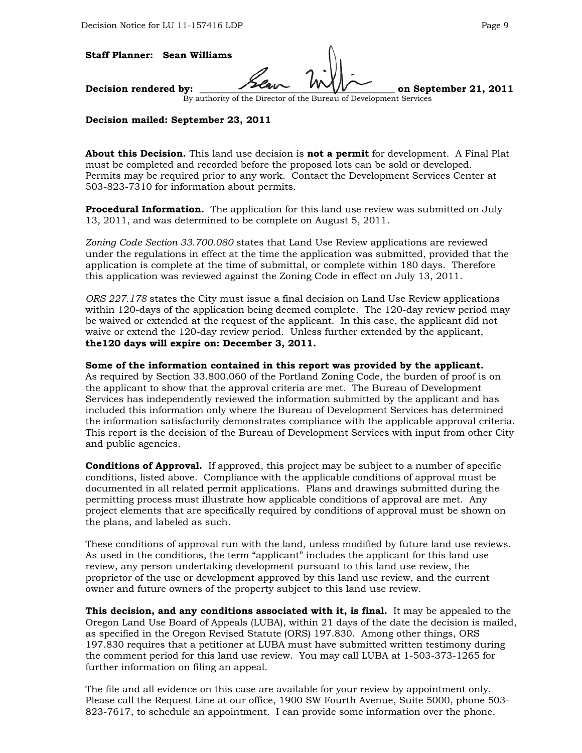#### **Staff Planner: Sean Williams**

Decision rendered by:  $\overline{\phantom{a}}$ 

By authority of the Director of the Bureau of Development Services

#### **Decision mailed: September 23, 2011**

**About this Decision.** This land use decision is **not a permit** for development. A Final Plat must be completed and recorded before the proposed lots can be sold or developed. Permits may be required prior to any work. Contact the Development Services Center at 503-823-7310 for information about permits.

**Procedural Information.** The application for this land use review was submitted on July 13, 2011, and was determined to be complete on August 5, 2011.

*Zoning Code Section 33.700.080* states that Land Use Review applications are reviewed under the regulations in effect at the time the application was submitted, provided that the application is complete at the time of submittal, or complete within 180 days. Therefore this application was reviewed against the Zoning Code in effect on July 13, 2011.

*ORS 227.178* states the City must issue a final decision on Land Use Review applications within 120-days of the application being deemed complete. The 120-day review period may be waived or extended at the request of the applicant. In this case, the applicant did not waive or extend the 120-day review period. Unless further extended by the applicant, **the120 days will expire on: December 3, 2011.**

#### **Some of the information contained in this report was provided by the applicant.**

As required by Section 33.800.060 of the Portland Zoning Code, the burden of proof is on the applicant to show that the approval criteria are met. The Bureau of Development Services has independently reviewed the information submitted by the applicant and has included this information only where the Bureau of Development Services has determined the information satisfactorily demonstrates compliance with the applicable approval criteria. This report is the decision of the Bureau of Development Services with input from other City and public agencies.

**Conditions of Approval.** If approved, this project may be subject to a number of specific conditions, listed above. Compliance with the applicable conditions of approval must be documented in all related permit applications. Plans and drawings submitted during the permitting process must illustrate how applicable conditions of approval are met. Any project elements that are specifically required by conditions of approval must be shown on the plans, and labeled as such.

These conditions of approval run with the land, unless modified by future land use reviews. As used in the conditions, the term "applicant" includes the applicant for this land use review, any person undertaking development pursuant to this land use review, the proprietor of the use or development approved by this land use review, and the current owner and future owners of the property subject to this land use review.

**This decision, and any conditions associated with it, is final.** It may be appealed to the Oregon Land Use Board of Appeals (LUBA), within 21 days of the date the decision is mailed, as specified in the Oregon Revised Statute (ORS) 197.830. Among other things, ORS 197.830 requires that a petitioner at LUBA must have submitted written testimony during the comment period for this land use review. You may call LUBA at 1-503-373-1265 for further information on filing an appeal.

The file and all evidence on this case are available for your review by appointment only. Please call the Request Line at our office, 1900 SW Fourth Avenue, Suite 5000, phone 503- 823-7617, to schedule an appointment. I can provide some information over the phone.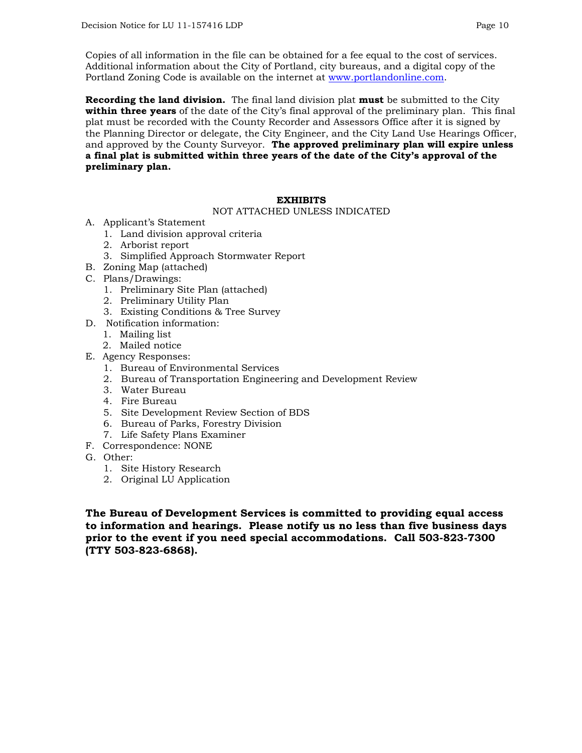Copies of all information in the file can be obtained for a fee equal to the cost of services. Additional information about the City of Portland, city bureaus, and a digital copy of the Portland Zoning Code is available on the internet at [www.portlandonline.com](http://www.portlandonline.com/).

**Recording the land division.** The final land division plat **must** be submitted to the City **within three years** of the date of the City's final approval of the preliminary plan. This final plat must be recorded with the County Recorder and Assessors Office after it is signed by the Planning Director or delegate, the City Engineer, and the City Land Use Hearings Officer, and approved by the County Surveyor. **The approved preliminary plan will expire unless a final plat is submitted within three years of the date of the City's approval of the preliminary plan.** 

#### **EXHIBITS**

#### NOT ATTACHED UNLESS INDICATED

- A. Applicant's Statement
	- 1. Land division approval criteria
	- 2. Arborist report
	- 3. Simplified Approach Stormwater Report
- B. Zoning Map (attached)
- C. Plans/Drawings:
	- 1. Preliminary Site Plan (attached)
	- 2. Preliminary Utility Plan
	- 3. Existing Conditions & Tree Survey
- D. Notification information:
	- 1. Mailing list
	- 2. Mailed notice
- E. Agency Responses:
	- 1. Bureau of Environmental Services
	- 2. Bureau of Transportation Engineering and Development Review
	- 3. Water Bureau
	- 4. Fire Bureau
	- 5. Site Development Review Section of BDS
	- 6. Bureau of Parks, Forestry Division
	- 7. Life Safety Plans Examiner
- F. Correspondence: NONE
- G. Other:
	- 1. Site History Research
	- 2. Original LU Application

**The Bureau of Development Services is committed to providing equal access to information and hearings. Please notify us no less than five business days prior to the event if you need special accommodations. Call 503-823-7300 (TTY 503-823-6868).**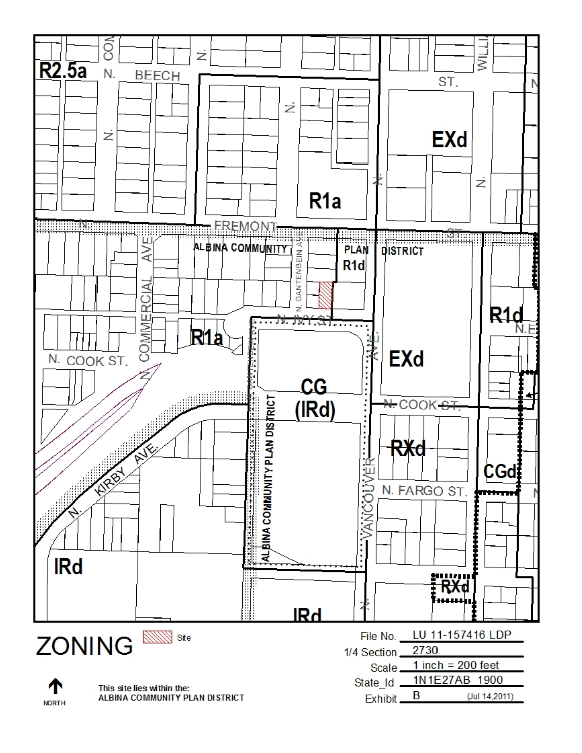